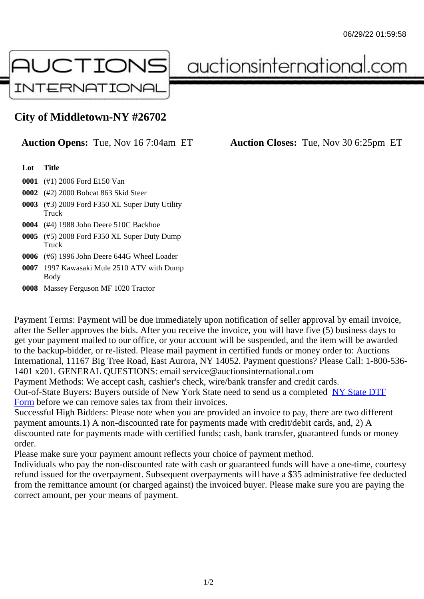## City of Middletown-NY #26702

## Auction Opens: Tue, Nov 16 7:04am ET Auction Closes: Tue, Nov 30 6:25pm ET

Lot Title

- 0001 (#1) 2006 Ford E150 Van
- 0002 (#2) 2000 Bobcat 863 Skid Steer
- 0003 (#3) 2009 Ford F350 XL Super Duty Utility **Truck**
- 0004 (#4) 1988 John Deere 510C Backhoe
- 0005 (#5) 2008 Ford F350 XL Super Duty Dump **Truck**
- 0006 (#6) 1996 John Deere 644G Wheel Loader
- 0007 1997 Kawasaki Mule 2510 ATV with Dump Body
- 0008 Massey Ferguson MF 1020 Tractor

Payment Terms: Payment will be due immediately upon notification of seller approval by email invoice, after the Seller approves the bids. After you receive the invoice, you will have five (5) business days to get your payment mailed to our office, or your account will be suspended, and the item will be awarded to the backup-bidder, or re-listed. Please mail payment in certified funds or money order to: Auctions International, 11167 Big Tree Road, East Aurora, NY 14052. Payment questions? Please Call: 1-800-53 1401 x201. GENERAL QUESTIONS: email service@auctionsinternational.com

Payment Methods: We accept cash, cashier's check, wire/bank transfer and credit cards.

Out-of-State Buyers: Buyers outside of New York State need to send us a com blestate DTF Form before we can remove sales tax from their invoices.

Successful High Bidders: Please note when you are provided an invoice to pay, there are two different payment amounts.1) A non-discounted rate for payments made with credit/de[bit cards, and](https://www.auctionsinternational.com/auxiliary/downloads/DTF_Form/dtf_fill_in.pdf), 2) A [disco](https://www.auctionsinternational.com/auxiliary/downloads/DTF_Form/dtf_fill_in.pdf)unted rate for payments made with certified funds; cash, bank transfer, guaranteed funds or mone order.

Please make sure your payment amount reflects your choice of payment method.

Individuals who pay the non-discounted rate with cash or guaranteed funds will have a one-time, courte refund issued for the overpayment. Subsequent overpayments will have a \$35 administrative fee deduc from the remittance amount (or charged against) the invoiced buyer. Please make sure you are paying correct amount, per your means of payment.